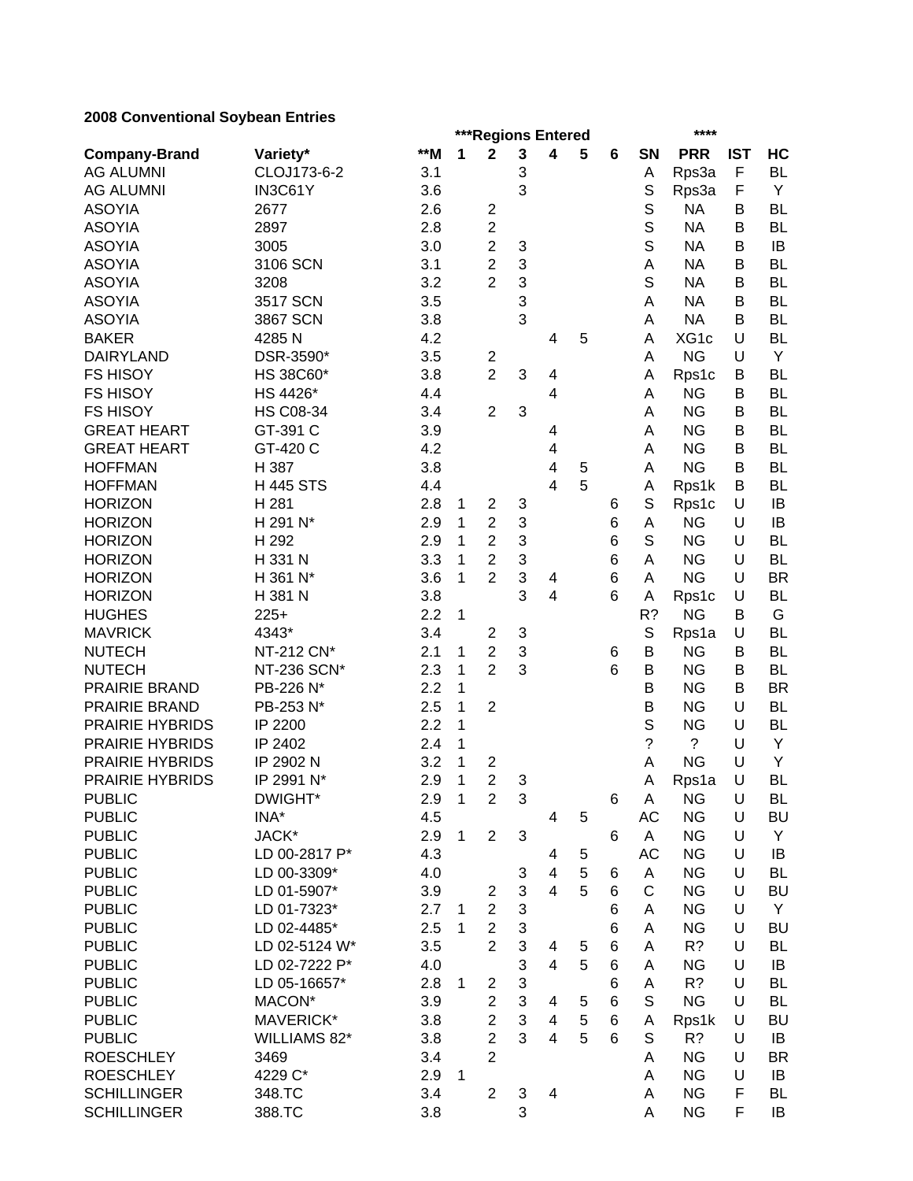# **2008 Conventional Soybean Entries**

|                        |                  |       |              | ****<br>***Regions Entered |                           |                         |   |                 |              |             |            |           |
|------------------------|------------------|-------|--------------|----------------------------|---------------------------|-------------------------|---|-----------------|--------------|-------------|------------|-----------|
| <b>Company-Brand</b>   | Variety*         | $*$ M | 1            | $\mathbf 2$                | $\mathbf{3}$              | 4                       | 5 | $6\phantom{1}6$ | SN           | <b>PRR</b>  | <b>IST</b> | HC        |
| <b>AG ALUMNI</b>       | CLOJ173-6-2      | 3.1   |              |                            | 3                         |                         |   |                 | Α            | Rps3a       | F          | <b>BL</b> |
| <b>AG ALUMNI</b>       | IN3C61Y          | 3.6   |              |                            | 3                         |                         |   |                 | S            | Rps3a       | F          | Y         |
| <b>ASOYIA</b>          | 2677             | 2.6   |              | $\overline{c}$             |                           |                         |   |                 | S            | <b>NA</b>   | B          | <b>BL</b> |
| <b>ASOYIA</b>          | 2897             | 2.8   |              | $\overline{2}$             |                           |                         |   |                 | $\mathbb S$  | <b>NA</b>   | B          | <b>BL</b> |
| <b>ASOYIA</b>          | 3005             | 3.0   |              | $\overline{2}$             | 3                         |                         |   |                 | S            | <b>NA</b>   | B          | IB        |
| <b>ASOYIA</b>          | 3106 SCN         | 3.1   |              | $\overline{2}$             | 3                         |                         |   |                 | A            | <b>NA</b>   | B          | <b>BL</b> |
| <b>ASOYIA</b>          | 3208             | 3.2   |              | $\overline{2}$             | 3                         |                         |   |                 | S            | <b>NA</b>   | B          | <b>BL</b> |
| <b>ASOYIA</b>          | 3517 SCN         | 3.5   |              |                            | 3                         |                         |   |                 | A            | <b>NA</b>   | B          | <b>BL</b> |
| <b>ASOYIA</b>          | 3867 SCN         | 3.8   |              |                            | 3                         |                         |   |                 | А            | <b>NA</b>   | B          | <b>BL</b> |
| <b>BAKER</b>           | 4285 N           | 4.2   |              |                            |                           | 4                       | 5 |                 | Α            | XG1c        | U          | <b>BL</b> |
| <b>DAIRYLAND</b>       | DSR-3590*        | 3.5   |              | $\overline{c}$             |                           |                         |   |                 | Α            | <b>NG</b>   | U          | Υ         |
| <b>FS HISOY</b>        | HS 38C60*        | 3.8   |              | $\overline{2}$             | $\ensuremath{\mathsf{3}}$ | 4                       |   |                 | А            | Rps1c       | В          | <b>BL</b> |
| <b>FS HISOY</b>        | HS 4426*         | 4.4   |              |                            |                           | 4                       |   |                 | А            | <b>NG</b>   | В          | <b>BL</b> |
| <b>FS HISOY</b>        | <b>HS C08-34</b> | 3.4   |              | $\overline{2}$             | 3                         |                         |   |                 | A            | <b>NG</b>   | В          | <b>BL</b> |
| <b>GREAT HEART</b>     | GT-391 C         | 3.9   |              |                            |                           | 4                       |   |                 | Α            | <b>NG</b>   | B          | <b>BL</b> |
| <b>GREAT HEART</b>     | GT-420 C         | 4.2   |              |                            |                           | 4                       |   |                 | Α            | <b>NG</b>   | В          | <b>BL</b> |
| <b>HOFFMAN</b>         | H 387            | 3.8   |              |                            |                           | 4                       | 5 |                 | Α            | <b>NG</b>   | B          | <b>BL</b> |
| <b>HOFFMAN</b>         | <b>H445 STS</b>  | 4.4   |              |                            |                           | 4                       | 5 |                 | A            | Rps1k       | В          | <b>BL</b> |
| <b>HORIZON</b>         | H 281            | 2.8   | 1            | $\overline{2}$             | 3                         |                         |   | 6               | $\mathbb S$  | Rps1c       | U          | IB        |
| <b>HORIZON</b>         | H 291 N*         | 2.9   | 1            | $\overline{2}$             | 3                         |                         |   | 6               | A            | <b>NG</b>   | U          | IB        |
| <b>HORIZON</b>         | H 292            | 2.9   | 1            | $\overline{2}$             | 3                         |                         |   | 6               | S            | <b>NG</b>   | U          | <b>BL</b> |
| <b>HORIZON</b>         | H 331 N          | 3.3   | 1            | $\overline{2}$             | 3                         |                         |   | 6               | A            | <b>NG</b>   | U          | <b>BL</b> |
| <b>HORIZON</b>         | H 361 N*         | 3.6   | 1            | $\overline{2}$             | $\sqrt{3}$                | 4                       |   | 6               | Α            | <b>NG</b>   | U          | <b>BR</b> |
| <b>HORIZON</b>         | H 381 N          | 3.8   |              |                            | 3                         | 4                       |   | 6               | A            | Rps1c       | U          | <b>BL</b> |
| <b>HUGHES</b>          | $225+$           | 2.2   | 1            |                            |                           |                         |   |                 | $R$ ?        | <b>NG</b>   | В          | G         |
| <b>MAVRICK</b>         | 4343*            | 3.4   |              | $\overline{c}$             | 3                         |                         |   |                 | S            | Rps1a       | U          | <b>BL</b> |
| <b>NUTECH</b>          | NT-212 CN*       | 2.1   | 1            | $\overline{2}$             | $\mathfrak{S}$            |                         |   | 6               | B            | <b>NG</b>   | B          | <b>BL</b> |
| <b>NUTECH</b>          | NT-236 SCN*      | 2.3   | 1            | $\overline{2}$             | 3                         |                         |   | 6               | B            | <b>NG</b>   | B          | <b>BL</b> |
| PRAIRIE BRAND          | PB-226 N*        | 2.2   | 1            |                            |                           |                         |   |                 | B            | <b>NG</b>   | B          | <b>BR</b> |
| PRAIRIE BRAND          | PB-253 N*        | 2.5   | 1            | $\mathbf{2}$               |                           |                         |   |                 | B            | <b>NG</b>   | U          | <b>BL</b> |
| <b>PRAIRIE HYBRIDS</b> | IP 2200          | 2.2   | 1            |                            |                           |                         |   |                 | S            | <b>NG</b>   | U          | <b>BL</b> |
| <b>PRAIRIE HYBRIDS</b> | IP 2402          | 2.4   | 1            |                            |                           |                         |   |                 | ?            | $\tilde{?}$ | U          | Y         |
| <b>PRAIRIE HYBRIDS</b> | IP 2902 N        | 3.2   | 1            | 2                          |                           |                         |   |                 | Α            | <b>NG</b>   | U          | Υ         |
| <b>PRAIRIE HYBRIDS</b> | IP 2991 N*       | 2.9   | 1            | $\overline{2}$             | 3                         |                         |   |                 | Α            | Rps1a       | U          | <b>BL</b> |
| <b>PUBLIC</b>          | DWIGHT*          | 2.9   | $\mathbf{1}$ | $\overline{c}$             | $\sqrt{3}$                |                         |   | 6               | Α            | <b>NG</b>   | U          | <b>BL</b> |
| <b>PUBLIC</b>          | INA*             | 4.5   |              |                            |                           | 4                       | 5 |                 | AC           | <b>NG</b>   | U          | <b>BU</b> |
| <b>PUBLIC</b>          | JACK*            | 2.9   | 1            | $\overline{2}$             | $\ensuremath{\mathsf{3}}$ |                         |   | 6               | A            | <b>NG</b>   | U          | Y         |
| <b>PUBLIC</b>          | LD 00-2817 P*    | 4.3   |              |                            |                           | 4                       | 5 |                 | <b>AC</b>    | <b>NG</b>   | U          | IB        |
| <b>PUBLIC</b>          | LD 00-3309*      | 4.0   |              |                            | 3                         | $\overline{\mathbf{4}}$ | 5 | 6               | A            | <b>NG</b>   | U          | <b>BL</b> |
| <b>PUBLIC</b>          | LD 01-5907*      | 3.9   |              | $\overline{2}$             | $\sqrt{3}$                | 4                       | 5 | 6               | $\mathsf{C}$ | <b>NG</b>   | U          | <b>BU</b> |
| <b>PUBLIC</b>          | LD 01-7323*      | 2.7   | $\mathbf{1}$ | $\overline{2}$             | $\sqrt{3}$                |                         |   | 6               | A            | <b>NG</b>   | U          | Y         |
| <b>PUBLIC</b>          | LD 02-4485*      | 2.5   | 1            | $\overline{2}$             | $\sqrt{3}$                |                         |   | 6               | A            | <b>NG</b>   | U          | <b>BU</b> |
| <b>PUBLIC</b>          | LD 02-5124 W*    | 3.5   |              | $\overline{2}$             | $\sqrt{3}$                | 4                       | 5 | 6               | A            | R?          | U          | <b>BL</b> |
| <b>PUBLIC</b>          | LD 02-7222 P*    | 4.0   |              |                            | 3                         | 4                       | 5 | 6               | A            | <b>NG</b>   | U          | IB        |
| <b>PUBLIC</b>          | LD 05-16657*     | 2.8   | 1            | 2                          | $\sqrt{3}$                |                         |   | 6               | A            | R?          | U          | <b>BL</b> |
| <b>PUBLIC</b>          | MACON*           | 3.9   |              | $\overline{2}$             | 3                         | 4                       | 5 | 6               | S            | <b>NG</b>   | U          | <b>BL</b> |
| <b>PUBLIC</b>          | MAVERICK*        | 3.8   |              | $\overline{2}$             | 3                         | 4                       | 5 | 6               | А            | Rps1k       | U          | <b>BU</b> |
| <b>PUBLIC</b>          | WILLIAMS 82*     | 3.8   |              | $\overline{2}$             | 3                         | 4                       | 5 | 6               | S            | R?          | U          | IB        |
| <b>ROESCHLEY</b>       | 3469             | 3.4   |              | $\overline{2}$             |                           |                         |   |                 | A            | <b>NG</b>   | U          | <b>BR</b> |
| <b>ROESCHLEY</b>       | 4229 C*          | 2.9   | $\mathbf{1}$ |                            |                           |                         |   |                 | А            | <b>NG</b>   | U          | IB        |
| <b>SCHILLINGER</b>     | 348.TC           | 3.4   |              | $\overline{2}$             | $\sqrt{3}$                | 4                       |   |                 | А            | <b>NG</b>   | F          | <b>BL</b> |
| <b>SCHILLINGER</b>     | 388.TC           | 3.8   |              |                            | $\ensuremath{\mathsf{3}}$ |                         |   |                 | A            | <b>NG</b>   | F          | IB        |